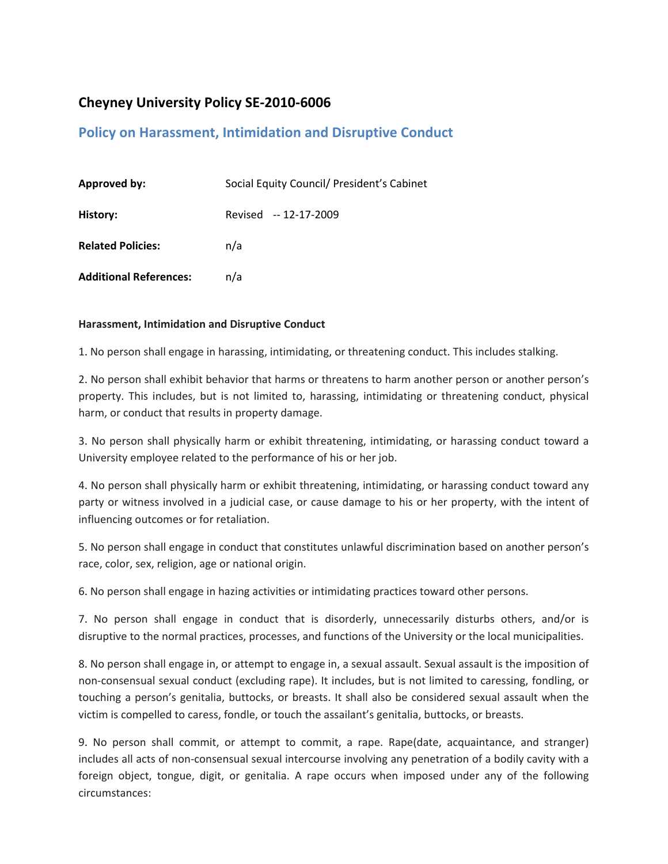## **Cheyney University Policy SE‐2010‐6006**

## **Policy on Harassment, Intimidation and Disruptive Conduct**

| <b>Approved by:</b>           | Social Equity Council/ President's Cabinet |
|-------------------------------|--------------------------------------------|
| History:                      | Revised -- 12-17-2009                      |
| <b>Related Policies:</b>      | n/a                                        |
| <b>Additional References:</b> | n/a                                        |

## **Harassment, Intimidation and Disruptive Conduct**

1. No person shall engage in harassing, intimidating, or threatening conduct. This includes stalking.

2. No person shall exhibit behavior that harms or threatens to harm another person or another person's property. This includes, but is not limited to, harassing, intimidating or threatening conduct, physical harm, or conduct that results in property damage.

3. No person shall physically harm or exhibit threatening, intimidating, or harassing conduct toward a University employee related to the performance of his or her job.

4. No person shall physically harm or exhibit threatening, intimidating, or harassing conduct toward any party or witness involved in a judicial case, or cause damage to his or her property, with the intent of influencing outcomes or for retaliation.

5. No person shall engage in conduct that constitutes unlawful discrimination based on another person's race, color, sex, religion, age or national origin.

6. No person shall engage in hazing activities or intimidating practices toward other persons.

7. No person shall engage in conduct that is disorderly, unnecessarily disturbs others, and/or is disruptive to the normal practices, processes, and functions of the University or the local municipalities.

8. No person shall engage in, or attempt to engage in, a sexual assault. Sexual assault is the imposition of non‐consensual sexual conduct (excluding rape). It includes, but is not limited to caressing, fondling, or touching a person's genitalia, buttocks, or breasts. It shall also be considered sexual assault when the victim is compelled to caress, fondle, or touch the assailant's genitalia, buttocks, or breasts.

9. No person shall commit, or attempt to commit, a rape. Rape(date, acquaintance, and stranger) includes all acts of non‐consensual sexual intercourse involving any penetration of a bodily cavity with a foreign object, tongue, digit, or genitalia. A rape occurs when imposed under any of the following circumstances: